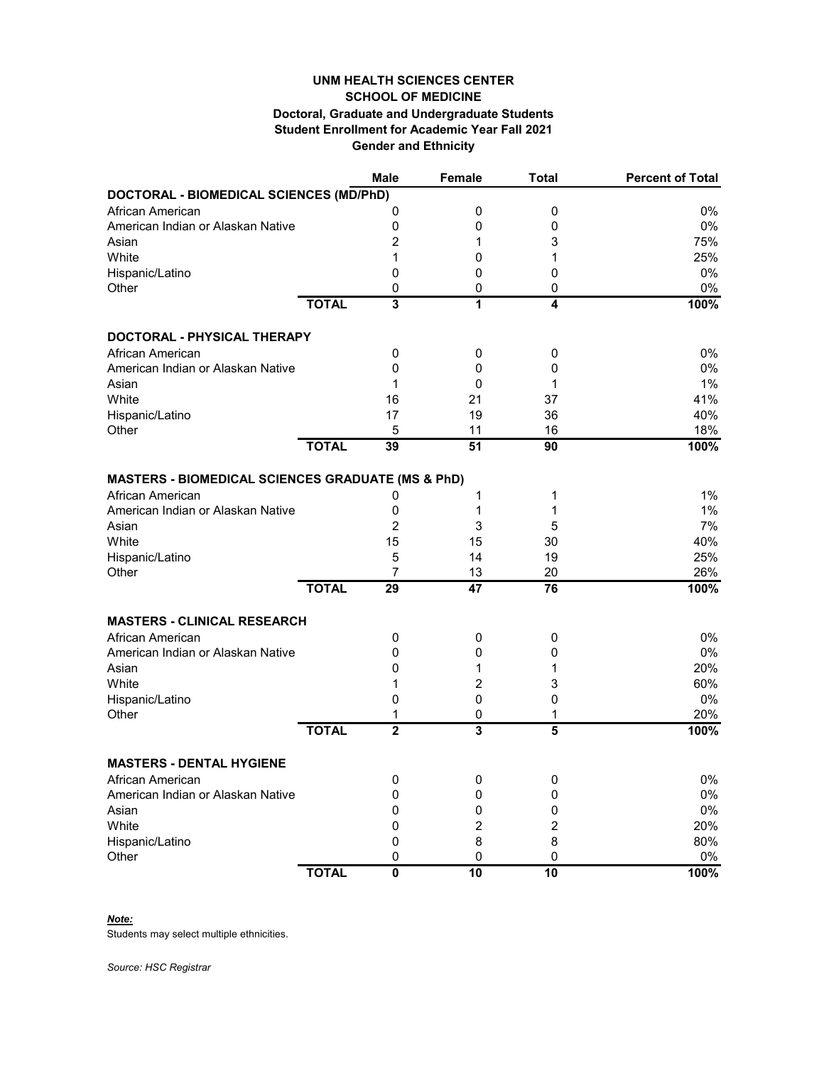## **Gender and Ethnicity UNM HEALTH SCIENCES CENTER SCHOOL OF MEDICINE Doctoral, Graduate and Undergraduate Students Student Enrollment for Academic Year Fall 2021**

|                                                              |              | <b>Male</b>             | <b>Female</b>           | <b>Total</b> | <b>Percent of Total</b> |
|--------------------------------------------------------------|--------------|-------------------------|-------------------------|--------------|-------------------------|
| DOCTORAL - BIOMEDICAL SCIENCES (MD/PhD)                      |              |                         |                         |              |                         |
| African American                                             |              | 0                       | 0                       | 0            | 0%                      |
| American Indian or Alaskan Native                            |              | 0                       | 0                       | 0            | 0%                      |
| Asian                                                        |              | 2                       | 1                       | 3            | 75%                     |
| White                                                        |              | 1                       | 0                       | 1            | 25%                     |
| Hispanic/Latino                                              |              | 0                       | 0                       | 0            | 0%                      |
| Other                                                        |              | 0                       | 0                       | 0            | 0%                      |
|                                                              | <b>TOTAL</b> | 3                       | 1                       | 4            | 100%                    |
| DOCTORAL - PHYSICAL THERAPY                                  |              |                         |                         |              |                         |
| African American                                             |              | 0                       | 0                       | 0            | 0%                      |
| American Indian or Alaskan Native                            |              | 0                       | 0                       | 0            | 0%                      |
| Asian                                                        |              | 1                       | 0                       | 1            | 1%                      |
| White                                                        |              | 16                      | 21                      | 37           | 41%                     |
| Hispanic/Latino                                              |              | 17                      | 19                      | 36           | 40%                     |
| Other                                                        |              | 5                       | 11                      | 16           | 18%                     |
|                                                              | <b>TOTAL</b> | 39                      | 51                      | 90           | 100%                    |
| <b>MASTERS - BIOMEDICAL SCIENCES GRADUATE (MS &amp; PhD)</b> |              |                         |                         |              |                         |
| African American                                             |              | 0                       | 1                       | 1            | 1%                      |
| American Indian or Alaskan Native                            |              | 0                       | 1                       | 1            | 1%                      |
| Asian                                                        |              | $\overline{c}$          | 3                       | 5            | 7%                      |
| White                                                        |              | 15                      | 15                      | 30           | 40%                     |
| Hispanic/Latino                                              |              | 5                       | 14                      | 19           | 25%                     |
| Other                                                        |              | 7                       | 13                      | 20           | 26%                     |
|                                                              | <b>TOTAL</b> | 29                      | 47                      | 76           | 100%                    |
| <b>MASTERS - CLINICAL RESEARCH</b>                           |              |                         |                         |              |                         |
| African American                                             |              | 0                       | 0                       | 0            | $0\%$                   |
| American Indian or Alaskan Native                            |              | 0                       | 0                       | 0            | 0%                      |
| Asian                                                        |              | 0                       | 1                       | 1            | 20%                     |
| White                                                        |              | 1                       | 2                       | 3            | 60%                     |
| Hispanic/Latino                                              |              | 0                       | 0                       | 0            | 0%                      |
| Other                                                        |              | 1                       | 0                       | 1            | 20%                     |
|                                                              | <b>TOTAL</b> | $\overline{\mathbf{2}}$ | $\overline{\mathbf{3}}$ | 5            | 100%                    |
| <b>MASTERS - DENTAL HYGIENE</b>                              |              |                         |                         |              |                         |
| African American                                             |              | 0                       |                         | 0            | 0%                      |
| American Indian or Alaskan Native                            |              | 0                       | 0<br>0                  | 0            | $0\%$                   |
| Asian                                                        |              | 0                       | 0                       | 0            | $0\%$                   |
| White                                                        |              |                         | $\overline{\mathbf{c}}$ |              | 20%                     |
|                                                              |              | 0                       | 8                       | 2<br>8       | 80%                     |
| Hispanic/Latino<br>Other                                     |              | 0<br>0                  | 0                       | $\pmb{0}$    | $0\%$                   |
|                                                              | <b>TOTAL</b> | $\pmb{0}$               | 10                      | 10           | 100%                    |

*Note:*

Students may select multiple ethnicities.

*Source: HSC Registrar*